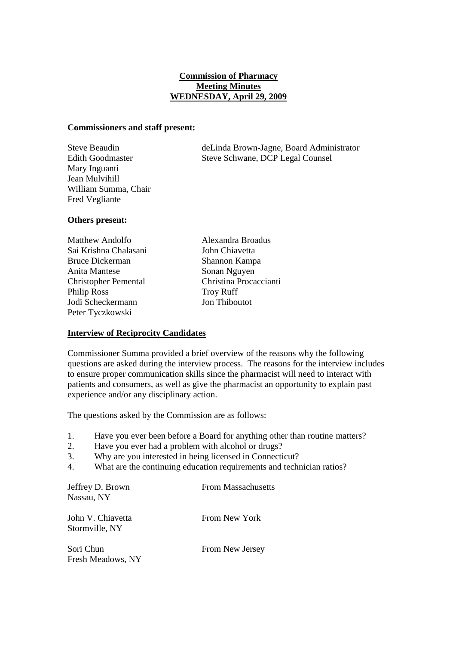# **Commission of Pharmacy Meeting Minutes WEDNESDAY, April 29, 2009**

### **Commissioners and staff present:**

Mary Inguanti Jean Mulvihill William Summa, Chair Fred Vegliante

Steve Beaudin deLinda Brown-Jagne, Board Administrator Edith Goodmaster Steve Schwane, DCP Legal Counsel

## **Others present:**

Matthew Andolfo Alexandra Broadus Sai Krishna Chalasani John Chiavetta Bruce Dickerman Shannon Kampa Anita Mantese Sonan Nguyen Philip Ross Troy Ruff Jodi Scheckermann Jon Thiboutot Peter Tyczkowski

Christopher Pemental Christina Procaccianti

## **Interview of Reciprocity Candidates**

Commissioner Summa provided a brief overview of the reasons why the following questions are asked during the interview process. The reasons for the interview includes to ensure proper communication skills since the pharmacist will need to interact with patients and consumers, as well as give the pharmacist an opportunity to explain past experience and/or any disciplinary action.

The questions asked by the Commission are as follows:

- 1. Have you ever been before a Board for anything other than routine matters?
- 2. Have you ever had a problem with alcohol or drugs?
- 3. Why are you interested in being licensed in Connecticut?
- 4. What are the continuing education requirements and technician ratios?

| Jeffrey D. Brown<br>Nassau, NY      | <b>From Massachusetts</b> |  |
|-------------------------------------|---------------------------|--|
| John V. Chiavetta<br>Stormville, NY | From New York             |  |
| Sori Chun<br>Fresh Meadows, NY      | From New Jersey           |  |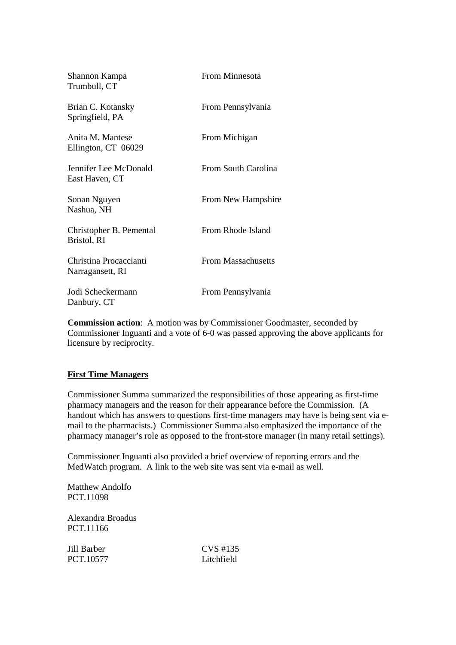| Shannon Kampa<br>Trumbull, CT              | From Minnesota            |
|--------------------------------------------|---------------------------|
| Brian C. Kotansky<br>Springfield, PA       | From Pennsylvania         |
| Anita M. Mantese<br>Ellington, CT 06029    | From Michigan             |
| Jennifer Lee McDonald<br>East Haven, CT    | From South Carolina       |
| Sonan Nguyen<br>Nashua, NH                 | From New Hampshire        |
| Christopher B. Pemental<br>Bristol, RI     | From Rhode Island         |
| Christina Procaccianti<br>Narragansett, RI | <b>From Massachusetts</b> |
| Jodi Scheckermann<br>Danbury, CT           | From Pennsylvania         |

**Commission action**: A motion was by Commissioner Goodmaster, seconded by Commissioner Inguanti and a vote of 6-0 was passed approving the above applicants for licensure by reciprocity.

## **First Time Managers**

Commissioner Summa summarized the responsibilities of those appearing as first-time pharmacy managers and the reason for their appearance before the Commission. (A handout which has answers to questions first-time managers may have is being sent via email to the pharmacists.) Commissioner Summa also emphasized the importance of the pharmacy manager's role as opposed to the front-store manager (in many retail settings).

Commissioner Inguanti also provided a brief overview of reporting errors and the MedWatch program. A link to the web site was sent via e-mail as well.

Matthew Andolfo PCT.11098

Alexandra Broadus PCT.11166

PCT.10577 I itchfield

Jill Barber CVS #135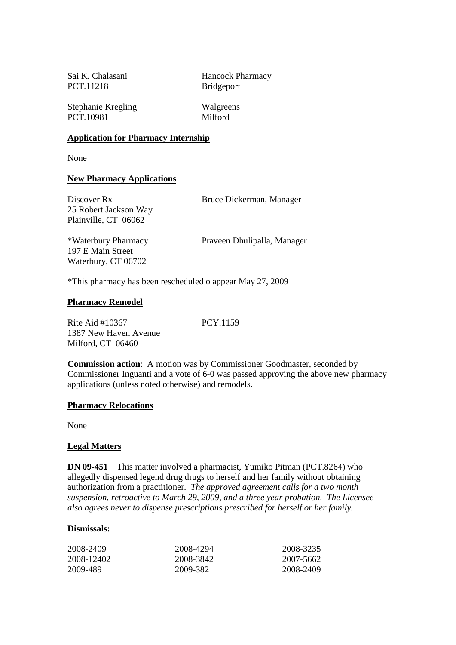PCT.11218 Bridgeport

Sai K. Chalasani Hancock Pharmacy

Stephanie Kregling Walgreens PCT.10981 Milford

### **Application for Pharmacy Internship**

None

### **New Pharmacy Applications**

| Discover Rx<br>25 Robert Jackson Way<br>Plainville, CT 06062    | Bruce Dickerman, Manager    |
|-----------------------------------------------------------------|-----------------------------|
| *Waterbury Pharmacy<br>197 E Main Street<br>Waterbury, CT 06702 | Praveen Dhulipalla, Manager |

\*This pharmacy has been rescheduled o appear May 27, 2009

### **Pharmacy Remodel**

Rite Aid #10367 PCY.1159 1387 New Haven Avenue Milford, CT 06460

**Commission action**: A motion was by Commissioner Goodmaster, seconded by Commissioner Inguanti and a vote of 6-0 was passed approving the above new pharmacy applications (unless noted otherwise) and remodels.

#### **Pharmacy Relocations**

None

#### **Legal Matters**

**DN 09-451** This matter involved a pharmacist, Yumiko Pitman (PCT.8264) who allegedly dispensed legend drug drugs to herself and her family without obtaining authorization from a practitioner. *The approved agreement calls for a two month suspension, retroactive to March 29, 2009, and a three year probation. The Licensee also agrees never to dispense prescriptions prescribed for herself or her family.*

#### **Dismissals:**

| 2008-2409  | 2008-4294 | 2008-3235 |
|------------|-----------|-----------|
| 2008-12402 | 2008-3842 | 2007-5662 |
| 2009-489   | 2009-382  | 2008-2409 |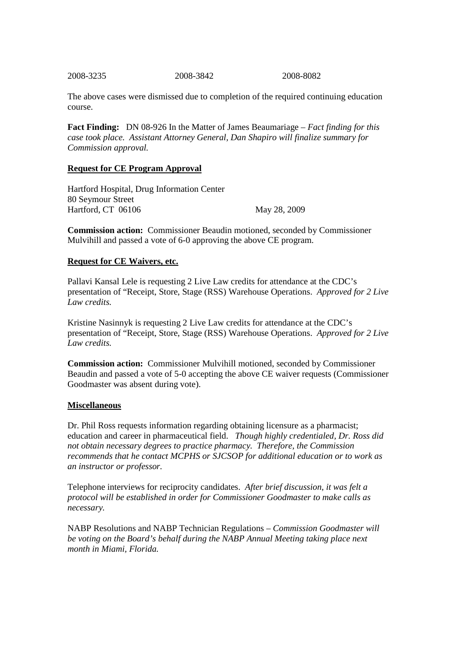2008-3235 2008-3842 2008-8082

The above cases were dismissed due to completion of the required continuing education course.

**Fact Finding:** DN 08-926 In the Matter of James Beaumariage – *Fact finding for this case took place. Assistant Attorney General, Dan Shapiro will finalize summary for Commission approval.*

## **Request for CE Program Approval**

Hartford Hospital, Drug Information Center 80 Seymour Street Hartford, CT 06106 May 28, 2009

**Commission action:** Commissioner Beaudin motioned, seconded by Commissioner Mulvihill and passed a vote of 6-0 approving the above CE program.

# **Request for CE Waivers, etc.**

Pallavi Kansal Lele is requesting 2 Live Law credits for attendance at the CDC's presentation of "Receipt, Store, Stage (RSS) Warehouse Operations. *Approved for 2 Live Law credits.*

Kristine Nasinnyk is requesting 2 Live Law credits for attendance at the CDC's presentation of "Receipt, Store, Stage (RSS) Warehouse Operations. *Approved for 2 Live Law credits.*

**Commission action:** Commissioner Mulvihill motioned, seconded by Commissioner Beaudin and passed a vote of 5-0 accepting the above CE waiver requests (Commissioner Goodmaster was absent during vote).

## **Miscellaneous**

Dr. Phil Ross requests information regarding obtaining licensure as a pharmacist; education and career in pharmaceutical field. *Though highly credentialed, Dr. Ross did not obtain necessary degrees to practice pharmacy. Therefore, the Commission recommends that he contact MCPHS or SJCSOP for additional education or to work as an instructor or professor.*

Telephone interviews for reciprocity candidates. *After brief discussion, it was felt a protocol will be established in order for Commissioner Goodmaster to make calls as necessary.*

NABP Resolutions and NABP Technician Regulations – *Commission Goodmaster will be voting on the Board's behalf during the NABP Annual Meeting taking place next month in Miami, Florida.*